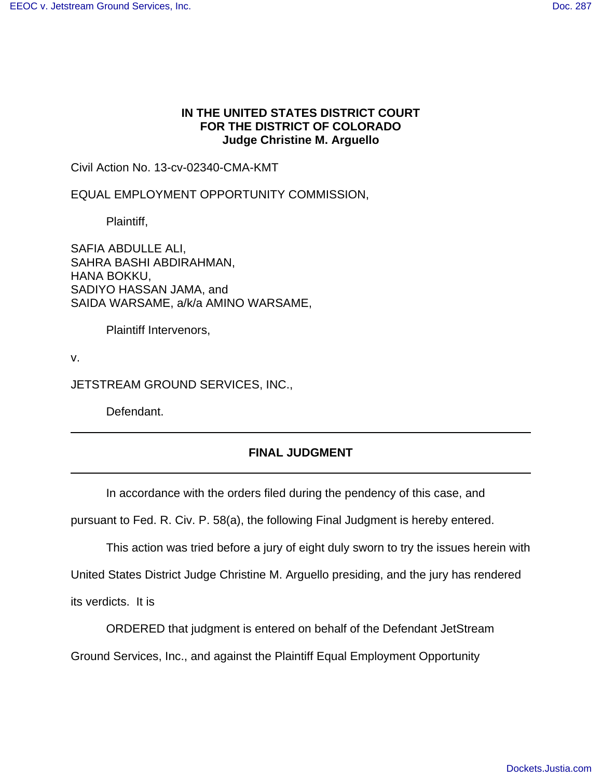## **IN THE UNITED STATES DISTRICT COURT FOR THE DISTRICT OF COLORADO Judge Christine M. Arguello**

Civil Action No. 13-cv-02340-CMA-KMT

EQUAL EMPLOYMENT OPPORTUNITY COMMISSION,

Plaintiff,

SAFIA ABDULLE ALI, SAHRA BASHI ABDIRAHMAN, HANA BOKKU, SADIYO HASSAN JAMA, and SAIDA WARSAME, a/k/a AMINO WARSAME,

Plaintiff Intervenors,

v.

JETSTREAM GROUND SERVICES, INC.,

Defendant.

## **FINAL JUDGMENT**

In accordance with the orders filed during the pendency of this case, and

pursuant to Fed. R. Civ. P. 58(a), the following Final Judgment is hereby entered.

This action was tried before a jury of eight duly sworn to try the issues herein with

United States District Judge Christine M. Arguello presiding, and the jury has rendered

its verdicts. It is

ORDERED that judgment is entered on behalf of the Defendant JetStream

Ground Services, Inc., and against the Plaintiff Equal Employment Opportunity